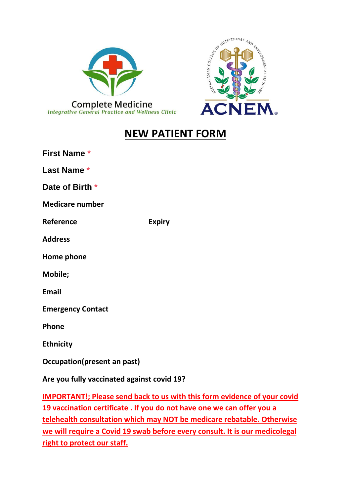



# **NEW PATIENT FORM**

| <b>First Name *</b>                        |               |  |  |  |
|--------------------------------------------|---------------|--|--|--|
| Last Name *                                |               |  |  |  |
| Date of Birth *                            |               |  |  |  |
| <b>Medicare number</b>                     |               |  |  |  |
| Reference                                  | <b>Expiry</b> |  |  |  |
| <b>Address</b>                             |               |  |  |  |
| Home phone                                 |               |  |  |  |
| Mobile;                                    |               |  |  |  |
| <b>Email</b>                               |               |  |  |  |
| <b>Emergency Contact</b>                   |               |  |  |  |
| Phone                                      |               |  |  |  |
| <b>Ethnicity</b>                           |               |  |  |  |
| Occupation(present an past)                |               |  |  |  |
| Are you fully vaccinated against covid 19? |               |  |  |  |

**IMPORTANT!; Please send back to us with this form evidence of your covid 19 vaccination certificate . If you do not have one we can offer you a telehealth consultation which may NOT be medicare rebatable. Otherwise we will require a Covid 19 swab before every consult. It is our medicolegal right to protect our staff.**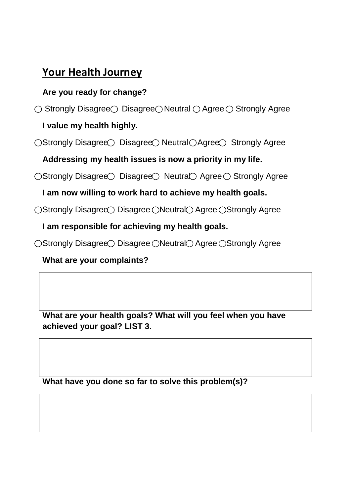# **Your Health Journey**

## **Are you ready for change?**

 $\bigcirc$  Strongly Disagree Disagree ONeutral OAgree OStrongly Agree

## **I value my health highly.**

 $\bigcirc$ Strongly Disagree $\bigcirc$  Disagree $\bigcirc$  Neutral  $\bigcirc$  Agree Strongly Agree

**Addressing my health issues is now a priority in my life.**

 $\bigcirc$ Strongly Disagree $\bigcirc$  Disagree $\bigcirc$  Neutra $\bigcirc$  Agree  $\bigcirc$  Strongly Agree

**I am now willing to work hard to achieve my health goals.**

○Strongly Disagree○ Disagree ○ Neutral○ Agree ○ Strongly Agree

**I am responsible for achieving my health goals.**

○Strongly Disagree○ Disagree ○ Neutral○ Agree ○ Strongly Agree

**What are your complaints?**

**What are your health goals? What will you feel when you have achieved your goal? LIST 3.**

**What have you done so far to solve this problem(s)?**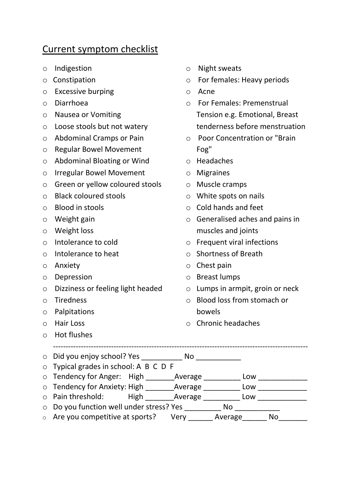# Current symptom checklist

- o Indigestion
- o Constipation
- o Excessive burping
- o Diarrhoea
- o Nausea or Vomiting
- o Loose stools but not watery
- o Abdominal Cramps or Pain
- o Regular Bowel Movement
- o Abdominal Bloating or Wind
- o Irregular Bowel Movement
- o Green or yellow coloured stools
- o Black coloured stools
- o Blood in stools
- o Weight gain
- o Weight loss
- o Intolerance to cold
- o Intolerance to heat
- o Anxiety
- o Depression
- o Dizziness or feeling light headed
- o Tiredness
- o Palpitations
- o Hair Loss
- o Hot flushes
- o Night sweats
- o For females: Heavy periods
- o Acne
- o For Females: Premenstrual Tension e.g. Emotional, Breast tenderness before menstruation
- o Poor Concentration or "Brain Fog"
- o Headaches
- o Migraines
- o Muscle cramps
- o White spots on nails
- o Cold hands and feet
- o Generalised aches and pains in muscles and joints
- o Frequent viral infections
- o Shortness of Breath
- o Chest pain
- o Breast lumps
- o Lumps in armpit, groin or neck
- o Blood loss from stomach or bowels
- o Chronic headaches

| $\circ$ Did you enjoy school? Yes                     |      | No.     |         |     |     |  |
|-------------------------------------------------------|------|---------|---------|-----|-----|--|
| $\circ$ Typical grades in school: A B C D F           |      |         |         |     |     |  |
| $\circ$ Tendency for Anger: High                      |      | Average |         | Low |     |  |
| o Tendency for Anxiety: High Average                  |      |         |         | Low |     |  |
| o Pain threshold:                                     | High | Average |         | Low |     |  |
| $\circ$ Do you function well under stress? Yes<br>No. |      |         |         |     |     |  |
| $\circ$ Are you competitive at sports?                |      | Very    | Average |     | No. |  |

-----------------------------------------------------------------------------------------------------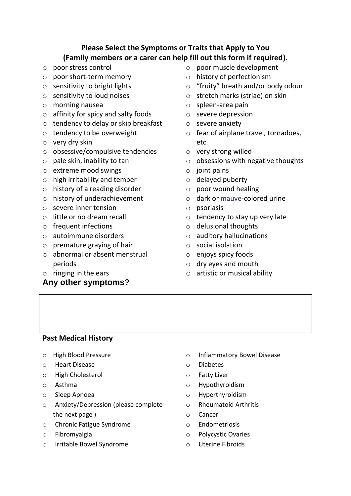## **Please Select the Symptoms or Traits that Apply to You (Family members or a carer can help fill out this form if required).**

- o poor stress control
- o poor short-term memory
- $\circ$  sensitivity to bright lights
- o sensitivity to loud noises
- o morning nausea
- o affinity for spicy and salty foods
- o tendency to delay or skip breakfast
- o tendency to be overweight
- o very dry skin
- o obsessive/compulsive tendencies
- $\circ$  pale skin, inability to tan
- o extreme mood swings
- o high irritability and temper
- o history of a reading disorder
- o history of underachievement
- o severe inner tension
- o little or no dream recall
- o frequent infections
- o autoimmune disorders
- $\circ$  premature graving of hair
- o abnormal or absent menstrual periods
- o ringing in the ears

#### **Any other symptoms?**

- o poor muscle development
- o history of perfectionism
- o "fruity" breath and/or body odour
- o stretch marks (striae) on skin
- o spleen-area pain
- o severe depression
- o severe anxiety
- o fear of airplane travel, tornadoes, etc.
- o very strong willed
- $\circ$  obsessions with negative thoughts
- $\circ$  joint pains
- o delayed puberty
- o poor wound healing
- o dark or mauve-colored urine
- o psoriasis
- $\circ$  tendency to stay up very late
- o delusional thoughts
- o auditory hallucinations
- o social isolation
- o enjoys spicy foods
- o dry eyes and mouth
- o artistic or musical ability

#### **Past Medical History**

- o High Blood Pressure
- o Heart Disease
- o High Cholesterol
- o Asthma
- o Sleep Apnoea
- o Anxiety/Depression (please complete the next page )
- o Chronic Fatigue Syndrome
- o Fibromyalgia
- o Irritable Bowel Syndrome
- o Inflammatory Bowel Disease
- o Diabetes
- o Fatty Liver
- o Hypothyroidism
- o Hyperthyroidism
- o Rheumatoid Arthritis
- o Cancer
- o Endometriosis
- o Polycystic Ovaries
- o Uterine Fibroids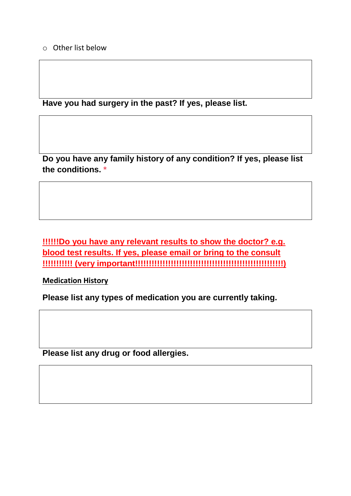**Have you had surgery in the past? If yes, please list.** 

**Do you have any family history of any condition? If yes, please list the conditions. \***

**!!!!!!Do you have any relevant results to show the doctor? e.g. blood test results. If yes, please email or bring to the consult !!!!!!!!!!! (very important!!!!!!!!!!!!!!!!!!!!!!!!!!!!!!!!!!!!!!!!!!!!!!!!!!!!!!)**

**Medication History**

**Please list any types of medication you are currently taking.** 

**Please list any drug or food allergies.**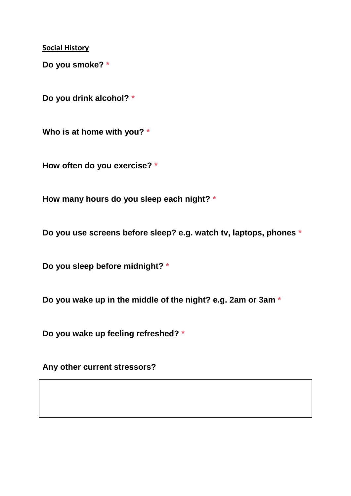**Social History**

**Do you smoke? \***

**Do you drink alcohol? \***

**Who is at home with you? \***

**How often do you exercise? \***

**How many hours do you sleep each night? \***

**Do you use screens before sleep? e.g. watch tv, laptops, phones \***

**Do you sleep before midnight? \***

**Do you wake up in the middle of the night? e.g. 2am or 3am \***

**Do you wake up feeling refreshed? \***

**Any other current stressors?**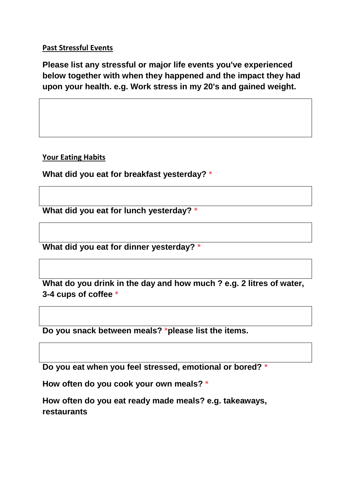### **Past Stressful Events**

**Please list any stressful or major life events you've experienced below together with when they happened and the impact they had upon your health. e.g. Work stress in my 20's and gained weight.** 

**Your Eating Habits**

**What did you eat for breakfast yesterday? \***

**What did you eat for lunch yesterday? \***

**What did you eat for dinner yesterday? \***

**What do you drink in the day and how much ? e.g. 2 litres of water, 3-4 cups of coffee \***

**Do you snack between meals? \*please list the items.**

**Do you eat when you feel stressed, emotional or bored? \***

**How often do you cook your own meals? \***

**How often do you eat ready made meals? e.g. takeaways, restaurants**